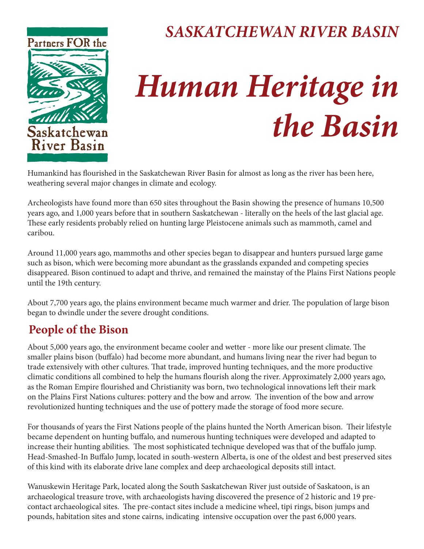

## *SASKATCHEWAN RIVER BASIN*

# *Human Heritage in the Basin*

Humankind has flourished in the Saskatchewan River Basin for almost as long as the river has been here, weathering several major changes in climate and ecology.

Archeologists have found more than 650 sites throughout the Basin showing the presence of humans 10,500 years ago, and 1,000 years before that in southern Saskatchewan - literally on the heels of the last glacial age. These early residents probably relied on hunting large Pleistocene animals such as mammoth, camel and caribou.

Around 11,000 years ago, mammoths and other species began to disappear and hunters pursued large game such as bison, which were becoming more abundant as the grasslands expanded and competing species disappeared. Bison continued to adapt and thrive, and remained the mainstay of the Plains First Nations people until the 19th century.

About 7,700 years ago, the plains environment became much warmer and drier. The population of large bison began to dwindle under the severe drought conditions.

### **People of the Bison**

About 5,000 years ago, the environment became cooler and wetter - more like our present climate. The smaller plains bison (buffalo) had become more abundant, and humans living near the river had begun to trade extensively with other cultures. That trade, improved hunting techniques, and the more productive climatic conditions all combined to help the humans flourish along the river. Approximately 2,000 years ago, as the Roman Empire flourished and Christianity was born, two technological innovations left their mark on the Plains First Nations cultures: pottery and the bow and arrow. The invention of the bow and arrow revolutionized hunting techniques and the use of pottery made the storage of food more secure.

For thousands of years the First Nations people of the plains hunted the North American bison. Their lifestyle became dependent on hunting buffalo, and numerous hunting techniques were developed and adapted to increase their hunting abilities. The most sophisticated technique developed was that of the buffalo jump. Head-Smashed-In Buffalo Jump, located in south-western Alberta, is one of the oldest and best preserved sites of this kind with its elaborate drive lane complex and deep archaeological deposits still intact.

Wanuskewin Heritage Park, located along the South Saskatchewan River just outside of Saskatoon, is an archaeological treasure trove, with archaeologists having discovered the presence of 2 historic and 19 precontact archaeological sites. The pre-contact sites include a medicine wheel, tipi rings, bison jumps and pounds, habitation sites and stone cairns, indicating intensive occupation over the past 6,000 years.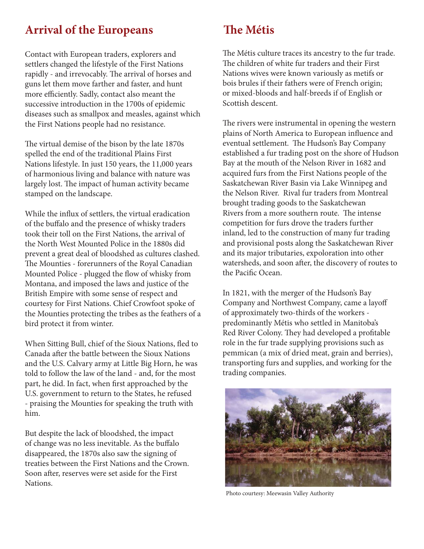#### **Arrival of the Europeans**

Contact with European traders, explorers and settlers changed the lifestyle of the First Nations rapidly - and irrevocably. The arrival of horses and guns let them move farther and faster, and hunt more efficiently. Sadly, contact also meant the successive introduction in the 1700s of epidemic diseases such as smallpox and measles, against which the First Nations people had no resistance.

The virtual demise of the bison by the late 1870s spelled the end of the traditional Plains First Nations lifestyle. In just 150 years, the 11,000 years of harmonious living and balance with nature was largely lost. The impact of human activity became stamped on the landscape.

While the influx of settlers, the virtual eradication of the buffalo and the presence of whisky traders took their toll on the First Nations, the arrival of the North West Mounted Police in the 1880s did prevent a great deal of bloodshed as cultures clashed. The Mounties - forerunners of the Royal Canadian Mounted Police - plugged the flow of whisky from Montana, and imposed the laws and justice of the British Empire with some sense of respect and courtesy for First Nations. Chief Crowfoot spoke of the Mounties protecting the tribes as the feathers of a bird protect it from winter.

When Sitting Bull, chief of the Sioux Nations, fled to Canada after the battle between the Sioux Nations and the U.S. Calvary army at Little Big Horn, he was told to follow the law of the land - and, for the most part, he did. In fact, when first approached by the U.S. government to return to the States, he refused - praising the Mounties for speaking the truth with him.

But despite the lack of bloodshed, the impact of change was no less inevitable. As the buffalo disappeared, the 1870s also saw the signing of treaties between the First Nations and the Crown. Soon after, reserves were set aside for the First Nations.

#### **The Métis**

The Métis culture traces its ancestry to the fur trade. The children of white fur traders and their First Nations wives were known variously as metifs or bois brules if their fathers were of French origin; or mixed-bloods and half-breeds if of English or Scottish descent.

The rivers were instrumental in opening the western plains of North America to European influence and eventual settlement. The Hudson's Bay Company established a fur trading post on the shore of Hudson Bay at the mouth of the Nelson River in 1682 and acquired furs from the First Nations people of the Saskatchewan River Basin via Lake Winnipeg and the Nelson River. Rival fur traders from Montreal brought trading goods to the Saskatchewan Rivers from a more southern route. The intense competition for furs drove the traders further inland, led to the construction of many fur trading and provisional posts along the Saskatchewan River and its major tributaries, expoloration into other watersheds, and soon after, the discovery of routes to the Pacific Ocean.

In 1821, with the merger of the Hudson's Bay Company and Northwest Company, came a layoff of approximately two-thirds of the workers predominantly Métis who settled in Manitoba's Red River Colony. They had developed a profitable role in the fur trade supplying provisions such as pemmican (a mix of dried meat, grain and berries), transporting furs and supplies, and working for the trading companies.



Photo courtesy: Meewasin Valley Authority